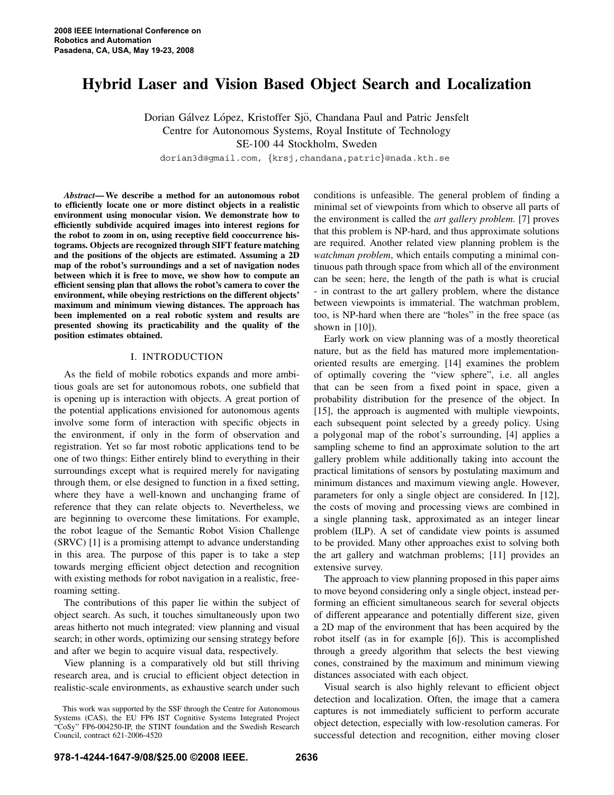# **Hybrid Laser and Vision Based Object Search and Localization**

Dorian Gálvez López, Kristoffer Sjö, Chandana Paul and Patric Jensfelt Centre for Autonomous Systems, Royal Institute of Technology SE-100 44 Stockholm, Sweden

dorian3d@gmail.com, *{*krsj,chandana,patric*}*@nada.kth.se

*Abstract***— We describe a method for an autonomous robot to efficiently locate one or more distinct objects in a realistic environment using monocular vision. We demonstrate how to efficiently subdivide acquired images into interest regions for the robot to zoom in on, using receptive field cooccurrence histograms. Objects are recognized through SIFT feature matching and the positions of the objects are estimated. Assuming a 2D map of the robot's surroundings and a set of navigation nodes between which it is free to move, we show how to compute an efficient sensing plan that allows the robot's camera to cover the environment, while obeying restrictions on the different objects' maximum and minimum viewing distances. The approach has been implemented on a real robotic system and results are presented showing its practicability and the quality of the position estimates obtained.**

## I. INTRODUCTION

As the field of mobile robotics expands and more ambitious goals are set for autonomous robots, one subfield that is opening up is interaction with objects. A great portion of the potential applications envisioned for autonomous agents involve some form of interaction with specific objects in the environment, if only in the form of observation and registration. Yet so far most robotic applications tend to be one of two things: Either entirely blind to everything in their surroundings except what is required merely for navigating through them, or else designed to function in a fixed setting, where they have a well-known and unchanging frame of reference that they can relate objects to. Nevertheless, we are beginning to overcome these limitations. For example, the robot league of the Semantic Robot Vision Challenge (SRVC) [1] is a promising attempt to advance understanding in this area. The purpose of this paper is to take a step towards merging efficient object detection and recognition with existing methods for robot navigation in a realistic, freeroaming setting.

The contributions of this paper lie within the subject of object search. As such, it touches simultaneously upon two areas hitherto not much integrated: view planning and visual search; in other words, optimizing our sensing strategy before and after we begin to acquire visual data, respectively.

View planning is a comparatively old but still thriving research area, and is crucial to efficient object detection in realistic-scale environments, as exhaustive search under such

conditions is unfeasible. The general problem of finding a minimal set of viewpoints from which to observe all parts of the environment is called the *art gallery problem*. [7] proves that this problem is NP-hard, and thus approximate solutions are required. Another related view planning problem is the *watchman problem*, which entails computing a minimal continuous path through space from which all of the environment can be seen; here, the length of the path is what is crucial - in contrast to the art gallery problem, where the distance between viewpoints is immaterial. The watchman problem, too, is NP-hard when there are "holes" in the free space (as shown in  $[10]$ ).

Early work on view planning was of a mostly theoretical nature, but as the field has matured more implementationoriented results are emerging. [14] examines the problem of optimally covering the "view sphere", i.e. all angles that can be seen from a fixed point in space, given a probability distribution for the presence of the object. In [15], the approach is augmented with multiple viewpoints, each subsequent point selected by a greedy policy. Using a polygonal map of the robot's surrounding, [4] applies a sampling scheme to find an approximate solution to the art gallery problem while additionally taking into account the practical limitations of sensors by postulating maximum and minimum distances and maximum viewing angle. However, parameters for only a single object are considered. In [12], the costs of moving and processing views are combined in a single planning task, approximated as an integer linear problem (ILP). A set of candidate view points is assumed to be provided. Many other approaches exist to solving both the art gallery and watchman problems; [11] provides an extensive survey.

The approach to view planning proposed in this paper aims to move beyond considering only a single object, instead performing an efficient simultaneous search for several objects of different appearance and potentially different size, given a 2D map of the environment that has been acquired by the robot itself (as in for example [6]). This is accomplished through a greedy algorithm that selects the best viewing cones, constrained by the maximum and minimum viewing distances associated with each object.

Visual search is also highly relevant to efficient object detection and localization. Often, the image that a camera captures is not immediately sufficient to perform accurate object detection, especially with low-resolution cameras. For successful detection and recognition, either moving closer

This work was supported by the SSF through the Centre for Autonomous Systems (CAS), the EU FP6 IST Cognitive Systems Integrated Project "CoSy" FP6-004250-IP, the STINT foundation and the Swedish Research Council, contract 621-2006-4520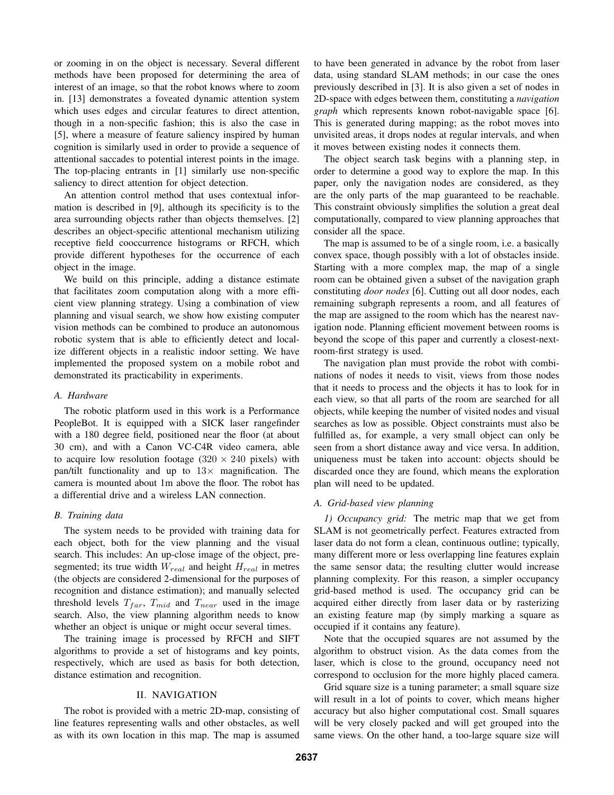or zooming in on the object is necessary. Several different methods have been proposed for determining the area of interest of an image, so that the robot knows where to zoom in. [13] demonstrates a foveated dynamic attention system which uses edges and circular features to direct attention, though in a non-specific fashion; this is also the case in [5], where a measure of feature saliency inspired by human cognition is similarly used in order to provide a sequence of attentional saccades to potential interest points in the image. The top-placing entrants in [1] similarly use non-specific saliency to direct attention for object detection.

An attention control method that uses contextual information is described in [9], although its specificity is to the area surrounding objects rather than objects themselves. [2] describes an object-specific attentional mechanism utilizing receptive field cooccurrence histograms or RFCH, which provide different hypotheses for the occurrence of each object in the image.

We build on this principle, adding a distance estimate that facilitates zoom computation along with a more efficient view planning strategy. Using a combination of view planning and visual search, we show how existing computer vision methods can be combined to produce an autonomous robotic system that is able to efficiently detect and localize different objects in a realistic indoor setting. We have implemented the proposed system on a mobile robot and demonstrated its practicability in experiments.

# *A. Hardware*

The robotic platform used in this work is a Performance PeopleBot. It is equipped with a SICK laser rangefinder with a 180 degree field, positioned near the floor (at about 30 cm), and with a Canon VC-C4R video camera, able to acquire low resolution footage  $(320 \times 240)$  pixels) with pan/tilt functionality and up to 13*×* magnification. The camera is mounted about 1m above the floor. The robot has a differential drive and a wireless LAN connection.

## *B. Training data*

The system needs to be provided with training data for each object, both for the view planning and the visual search. This includes: An up-close image of the object, presegmented; its true width W*real* and height H*real* in metres (the objects are considered 2-dimensional for the purposes of recognition and distance estimation); and manually selected threshold levels  $T_{far}$ ,  $T_{mid}$  and  $T_{near}$  used in the image search. Also, the view planning algorithm needs to know whether an object is unique or might occur several times.

The training image is processed by RFCH and SIFT algorithms to provide a set of histograms and key points, respectively, which are used as basis for both detection, distance estimation and recognition.

# II. NAVIGATION

The robot is provided with a metric 2D-map, consisting of line features representing walls and other obstacles, as well as with its own location in this map. The map is assumed to have been generated in advance by the robot from laser data, using standard SLAM methods; in our case the ones previously described in [3]. It is also given a set of nodes in 2D-space with edges between them, constituting a *navigation graph* which represents known robot-navigable space [6]. This is generated during mapping; as the robot moves into unvisited areas, it drops nodes at regular intervals, and when it moves between existing nodes it connects them.

The object search task begins with a planning step, in order to determine a good way to explore the map. In this paper, only the navigation nodes are considered, as they are the only parts of the map guaranteed to be reachable. This constraint obviously simplifies the solution a great deal computationally, compared to view planning approaches that consider all the space.

The map is assumed to be of a single room, i.e. a basically convex space, though possibly with a lot of obstacles inside. Starting with a more complex map, the map of a single room can be obtained given a subset of the navigation graph constituting *door nodes* [6]. Cutting out all door nodes, each remaining subgraph represents a room, and all features of the map are assigned to the room which has the nearest navigation node. Planning efficient movement between rooms is beyond the scope of this paper and currently a closest-nextroom-first strategy is used.

The navigation plan must provide the robot with combinations of nodes it needs to visit, views from those nodes that it needs to process and the objects it has to look for in each view, so that all parts of the room are searched for all objects, while keeping the number of visited nodes and visual searches as low as possible. Object constraints must also be fulfilled as, for example, a very small object can only be seen from a short distance away and vice versa. In addition, uniqueness must be taken into account: objects should be discarded once they are found, which means the exploration plan will need to be updated.

# *A. Grid-based view planning*

*1) Occupancy grid:* The metric map that we get from SLAM is not geometrically perfect. Features extracted from laser data do not form a clean, continuous outline; typically, many different more or less overlapping line features explain the same sensor data; the resulting clutter would increase planning complexity. For this reason, a simpler occupancy grid-based method is used. The occupancy grid can be acquired either directly from laser data or by rasterizing an existing feature map (by simply marking a square as occupied if it contains any feature).

Note that the occupied squares are not assumed by the algorithm to obstruct vision. As the data comes from the laser, which is close to the ground, occupancy need not correspond to occlusion for the more highly placed camera.

Grid square size is a tuning parameter; a small square size will result in a lot of points to cover, which means higher accuracy but also higher computational cost. Small squares will be very closely packed and will get grouped into the same views. On the other hand, a too-large square size will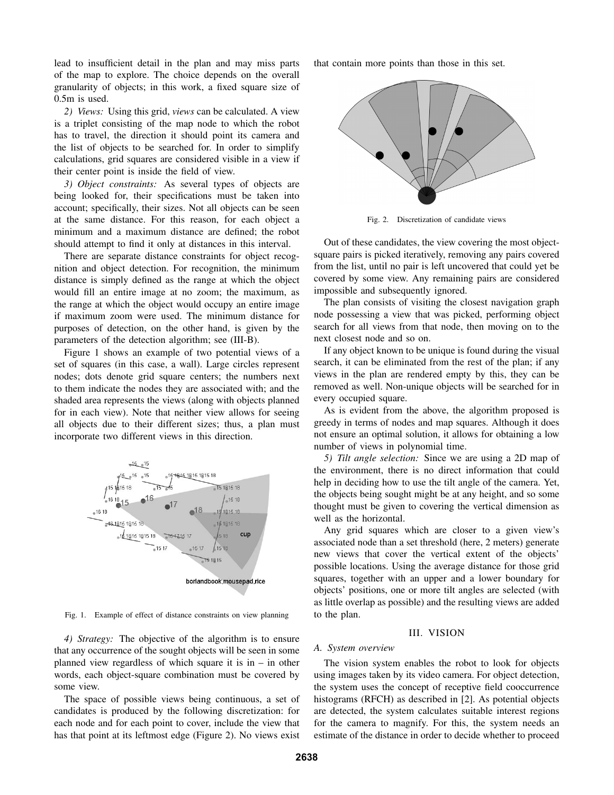lead to insufficient detail in the plan and may miss parts of the map to explore. The choice depends on the overall granularity of objects; in this work, a fixed square size of 0.5m is used.

*2) Views:* Using this grid, *views* can be calculated. A view is a triplet consisting of the map node to which the robot has to travel, the direction it should point its camera and the list of objects to be searched for. In order to simplify calculations, grid squares are considered visible in a view if their center point is inside the field of view.

*3) Object constraints:* As several types of objects are being looked for, their specifications must be taken into account; specifically, their sizes. Not all objects can be seen at the same distance. For this reason, for each object a minimum and a maximum distance are defined; the robot should attempt to find it only at distances in this interval.

There are separate distance constraints for object recognition and object detection. For recognition, the minimum distance is simply defined as the range at which the object would fill an entire image at no zoom; the maximum, as the range at which the object would occupy an entire image if maximum zoom were used. The minimum distance for purposes of detection, on the other hand, is given by the parameters of the detection algorithm; see (III-B).

Figure 1 shows an example of two potential views of a set of squares (in this case, a wall). Large circles represent nodes; dots denote grid square centers; the numbers next to them indicate the nodes they are associated with; and the shaded area represents the views (along with objects planned for in each view). Note that neither view allows for seeing all objects due to their different sizes; thus, a plan must incorporate two different views in this direction.



Fig. 1. Example of effect of distance constraints on view planning

*4) Strategy:* The objective of the algorithm is to ensure that any occurrence of the sought objects will be seen in some planned view regardless of which square it is in  $-$  in other words, each object-square combination must be covered by some view.

The space of possible views being continuous, a set of candidates is produced by the following discretization: for each node and for each point to cover, include the view that has that point at its leftmost edge (Figure 2). No views exist that contain more points than those in this set.



Fig. 2. Discretization of candidate views

Out of these candidates, the view covering the most objectsquare pairs is picked iteratively, removing any pairs covered from the list, until no pair is left uncovered that could yet be covered by some view. Any remaining pairs are considered impossible and subsequently ignored.

The plan consists of visiting the closest navigation graph node possessing a view that was picked, performing object search for all views from that node, then moving on to the next closest node and so on.

If any object known to be unique is found during the visual search, it can be eliminated from the rest of the plan; if any views in the plan are rendered empty by this, they can be removed as well. Non-unique objects will be searched for in every occupied square.

As is evident from the above, the algorithm proposed is greedy in terms of nodes and map squares. Although it does not ensure an optimal solution, it allows for obtaining a low number of views in polynomial time.

*5) Tilt angle selection:* Since we are using a 2D map of the environment, there is no direct information that could help in deciding how to use the tilt angle of the camera. Yet, the objects being sought might be at any height, and so some thought must be given to covering the vertical dimension as well as the horizontal.

Any grid squares which are closer to a given view's associated node than a set threshold (here, 2 meters) generate new views that cover the vertical extent of the objects' possible locations. Using the average distance for those grid squares, together with an upper and a lower boundary for objects' positions, one or more tilt angles are selected (with as little overlap as possible) and the resulting views are added to the plan.

#### III. VISION

#### *A. System overview*

The vision system enables the robot to look for objects using images taken by its video camera. For object detection, the system uses the concept of receptive field cooccurrence histograms (RFCH) as described in [2]. As potential objects are detected, the system calculates suitable interest regions for the camera to magnify. For this, the system needs an estimate of the distance in order to decide whether to proceed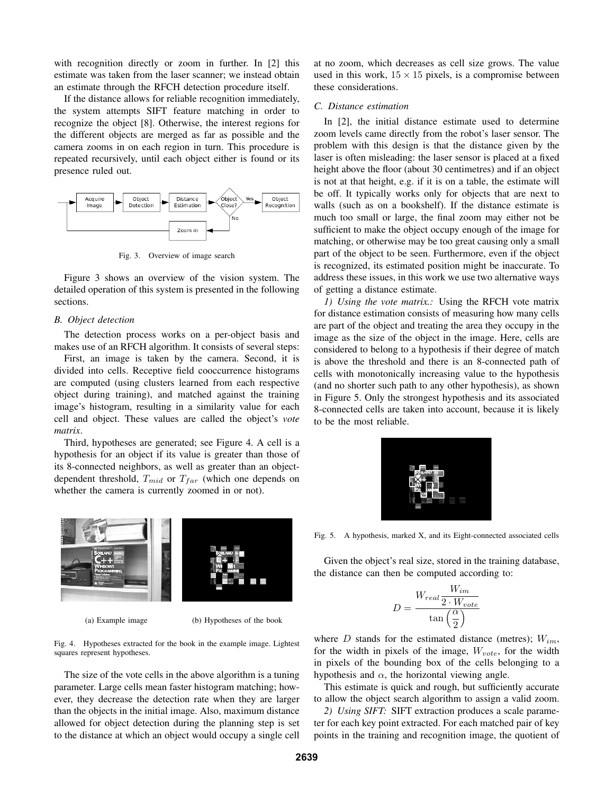with recognition directly or zoom in further. In [2] this estimate was taken from the laser scanner; we instead obtain an estimate through the RFCH detection procedure itself.

If the distance allows for reliable recognition immediately, the system attempts SIFT feature matching in order to recognize the object [8]. Otherwise, the interest regions for the different objects are merged as far as possible and the camera zooms in on each region in turn. This procedure is repeated recursively, until each object either is found or its presence ruled out.



Fig. 3. Overview of image search

Figure 3 shows an overview of the vision system. The detailed operation of this system is presented in the following sections.

#### *B. Object detection*

The detection process works on a per-object basis and makes use of an RFCH algorithm. It consists of several steps:

First, an image is taken by the camera. Second, it is divided into cells. Receptive field cooccurrence histograms are computed (using clusters learned from each respective object during training), and matched against the training image's histogram, resulting in a similarity value for each cell and object. These values are called the object's *vote matrix*.

Third, hypotheses are generated; see Figure 4. A cell is a hypothesis for an object if its value is greater than those of its 8-connected neighbors, as well as greater than an objectdependent threshold, T*mid* or T*far* (which one depends on whether the camera is currently zoomed in or not).



(a) Example image (b) Hypotheses of the book

Fig. 4. Hypotheses extracted for the book in the example image. Lightest squares represent hypotheses.

The size of the vote cells in the above algorithm is a tuning parameter. Large cells mean faster histogram matching; however, they decrease the detection rate when they are larger than the objects in the initial image. Also, maximum distance allowed for object detection during the planning step is set to the distance at which an object would occupy a single cell at no zoom, which decreases as cell size grows. The value used in this work,  $15 \times 15$  pixels, is a compromise between these considerations.

# *C. Distance estimation*

In [2], the initial distance estimate used to determine zoom levels came directly from the robot's laser sensor. The problem with this design is that the distance given by the laser is often misleading: the laser sensor is placed at a fixed height above the floor (about 30 centimetres) and if an object is not at that height, e.g. if it is on a table, the estimate will be off. It typically works only for objects that are next to walls (such as on a bookshelf). If the distance estimate is much too small or large, the final zoom may either not be sufficient to make the object occupy enough of the image for matching, or otherwise may be too great causing only a small part of the object to be seen. Furthermore, even if the object is recognized, its estimated position might be inaccurate. To address these issues, in this work we use two alternative ways of getting a distance estimate.

*1) Using the vote matrix.:* Using the RFCH vote matrix for distance estimation consists of measuring how many cells are part of the object and treating the area they occupy in the image as the size of the object in the image. Here, cells are considered to belong to a hypothesis if their degree of match is above the threshold and there is an 8-connected path of cells with monotonically increasing value to the hypothesis (and no shorter such path to any other hypothesis), as shown in Figure 5. Only the strongest hypothesis and its associated 8-connected cells are taken into account, because it is likely to be the most reliable.



Fig. 5. A hypothesis, marked X, and its Eight-connected associated cells

Given the object's real size, stored in the training database, the distance can then be computed according to:

$$
D = \frac{W_{real} \frac{W_{im}}{2 \cdot W_{vote}}}{\tan\left(\frac{\alpha}{2}\right)}
$$

where D stands for the estimated distance (metres); W*im*, for the width in pixels of the image, W*vote*, for the width in pixels of the bounding box of the cells belonging to a hypothesis and  $\alpha$ , the horizontal viewing angle.

This estimate is quick and rough, but sufficiently accurate to allow the object search algorithm to assign a valid zoom.

*2) Using SIFT:* SIFT extraction produces a scale parameter for each key point extracted. For each matched pair of key points in the training and recognition image, the quotient of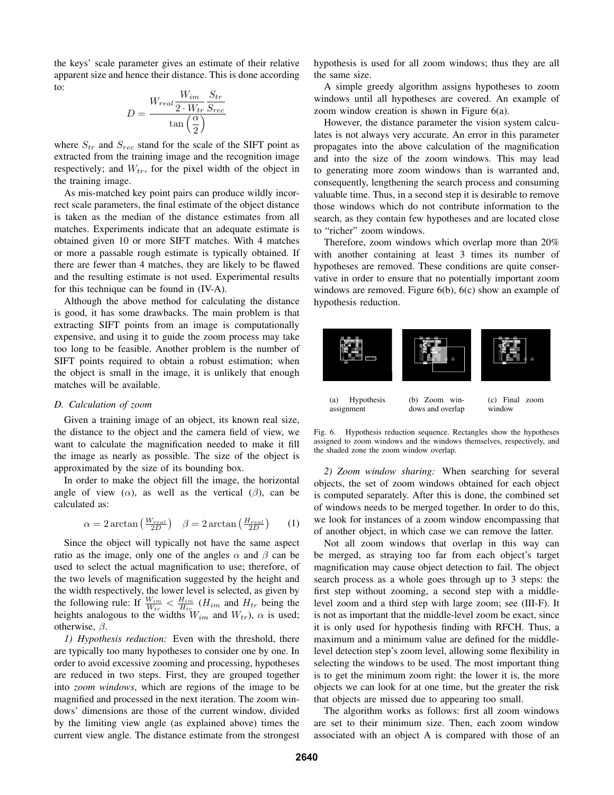the keys' scale parameter gives an estimate of their relative apparent size and hence their distance. This is done according to:

$$
D = \frac{W_{real} \frac{W_{im}}{2 \cdot W_{tr}} \frac{S_{tr}}{S_{rec}}}{\tan\left(\frac{\alpha}{2}\right)}
$$

where  $S_{tr}$  and  $S_{rec}$  stand for the scale of the SIFT point as extracted from the training image and the recognition image respectively; and  $W_{tr}$ , for the pixel width of the object in the training image.

As mis-matched key point pairs can produce wildly incorrect scale parameters, the final estimate of the object distance is taken as the median of the distance estimates from all matches. Experiments indicate that an adequate estimate is obtained given 10 or more SIFT matches. With 4 matches or more a passable rough estimate is typically obtained. If there are fewer than 4 matches, they are likely to be flawed and the resulting estimate is not used. Experimental results for this technique can be found in (IV-A).

Although the above method for calculating the distance is good, it has some drawbacks. The main problem is that extracting SIFT points from an image is computationally expensive, and using it to guide the zoom process may take too long to be feasible. Another problem is the number of SIFT points required to obtain a robust estimation; when the object is small in the image, it is unlikely that enough matches will be available.

### *D. Calculation of zoom*

Given a training image of an object, its known real size, the distance to the object and the camera field of view, we want to calculate the magnification needed to make it fill the image as nearly as possible. The size of the object is approximated by the size of its bounding box.

In order to make the object fill the image, the horizontal angle of view  $(\alpha)$ , as well as the vertical  $(\beta)$ , can be calculated as:

$$
\alpha = 2 \arctan\left(\frac{W_{real}}{2D}\right) \quad \beta = 2 \arctan\left(\frac{H_{real}}{2D}\right) \tag{1}
$$

Since the object will typically not have the same aspect ratio as the image, only one of the angles  $\alpha$  and  $\beta$  can be used to select the actual magnification to use; therefore, of the two levels of magnification suggested by the height and the width respectively, the lower level is selected, as given by the following rule: If  $\frac{W_{im}}{W_{tr}} < \frac{H_{im}}{H_{tr}} (H_{im} \text{ and } H_{tr} \text{ being the})$ heights analogous to the widths  $W_{im}$  and  $W_{tr}$ ),  $\alpha$  is used; otherwise,  $\beta$ .

*1) Hypothesis reduction:* Even with the threshold, there are typically too many hypotheses to consider one by one. In order to avoid excessive zooming and processing, hypotheses are reduced in two steps. First, they are grouped together into *zoom windows*, which are regions of the image to be magnified and processed in the next iteration. The zoom windows' dimensions are those of the current window, divided by the limiting view angle (as explained above) times the current view angle. The distance estimate from the strongest hypothesis is used for all zoom windows; thus they are all the same size.

A simple greedy algorithm assigns hypotheses to zoom windows until all hypotheses are covered. An example of zoom window creation is shown in Figure 6(a).

However, the distance parameter the vision system calculates is not always very accurate. An error in this parameter propagates into the above calculation of the magnification and into the size of the zoom windows. This may lead to generating more zoom windows than is warranted and, consequently, lengthening the search process and consuming valuable time. Thus, in a second step it is desirable to remove those windows which do not contribute information to the search, as they contain few hypotheses and are located close to "richer" zoom windows.

Therefore, zoom windows which overlap more than 20% with another containing at least 3 times its number of hypotheses are removed. These conditions are quite conservative in order to ensure that no potentially important zoom windows are removed. Figure 6(b), 6(c) show an example of hypothesis reduction.



Fig. 6. Hypothesis reduction sequence. Rectangles show the hypotheses assigned to zoom windows and the windows themselves, respectively, and the shaded zone the zoom window overlap.

*2) Zoom window sharing:* When searching for several objects, the set of zoom windows obtained for each object is computed separately. After this is done, the combined set of windows needs to be merged together. In order to do this, we look for instances of a zoom window encompassing that of another object, in which case we can remove the latter.

Not all zoom windows that overlap in this way can be merged, as straying too far from each object's target magnification may cause object detection to fail. The object search process as a whole goes through up to 3 steps: the first step without zooming, a second step with a middlelevel zoom and a third step with large zoom; see (III-F). It is not as important that the middle-level zoom be exact, since it is only used for hypothesis finding with RFCH. Thus, a maximum and a minimum value are defined for the middlelevel detection step's zoom level, allowing some flexibility in selecting the windows to be used. The most important thing is to get the minimum zoom right: the lower it is, the more objects we can look for at one time, but the greater the risk that objects are missed due to appearing too small.

The algorithm works as follows: first all zoom windows are set to their minimum size. Then, each zoom window associated with an object A is compared with those of an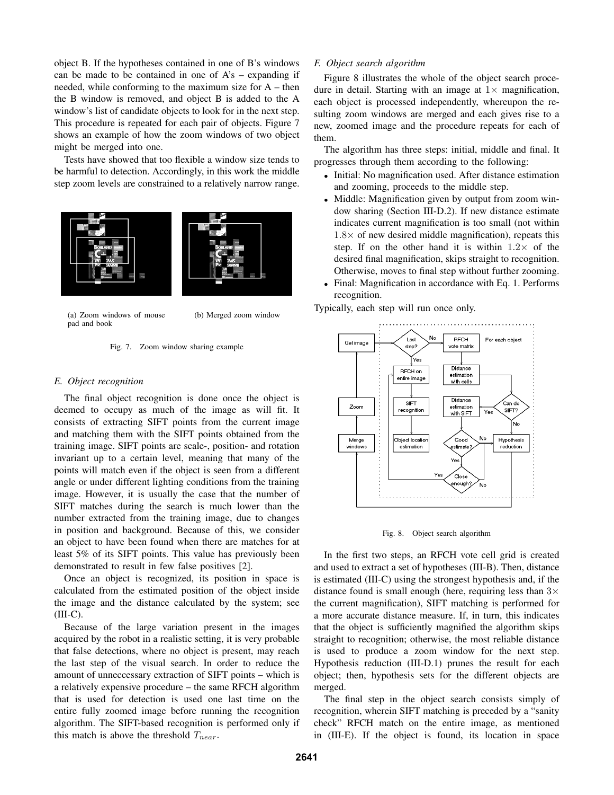object B. If the hypotheses contained in one of B's windows can be made to be contained in one of  $A's - expanding$  if needed, while conforming to the maximum size for A – then the B window is removed, and object B is added to the A window's list of candidate objects to look for in the next step. This procedure is repeated for each pair of objects. Figure 7 shows an example of how the zoom windows of two object might be merged into one.

Tests have showed that too flexible a window size tends to be harmful to detection. Accordingly, in this work the middle step zoom levels are constrained to a relatively narrow range.



(a) Zoom windows of mouse pad and book

(b) Merged zoom window

Fig. 7. Zoom window sharing example

# *E. Object recognition*

The final object recognition is done once the object is deemed to occupy as much of the image as will fit. It consists of extracting SIFT points from the current image and matching them with the SIFT points obtained from the training image. SIFT points are scale-, position- and rotation invariant up to a certain level, meaning that many of the points will match even if the object is seen from a different angle or under different lighting conditions from the training image. However, it is usually the case that the number of SIFT matches during the search is much lower than the number extracted from the training image, due to changes in position and background. Because of this, we consider an object to have been found when there are matches for at least 5% of its SIFT points. This value has previously been demonstrated to result in few false positives [2].

Once an object is recognized, its position in space is calculated from the estimated position of the object inside the image and the distance calculated by the system; see  $(III-C).$ 

Because of the large variation present in the images acquired by the robot in a realistic setting, it is very probable that false detections, where no object is present, may reach the last step of the visual search. In order to reduce the amount of unneccessary extraction of SIFT points – which is a relatively expensive procedure – the same RFCH algorithm that is used for detection is used one last time on the entire fully zoomed image before running the recognition algorithm. The SIFT-based recognition is performed only if this match is above the threshold T*near*.

#### *F. Object search algorithm*

Figure 8 illustrates the whole of the object search procedure in detail. Starting with an image at  $1\times$  magnification, each object is processed independently, whereupon the resulting zoom windows are merged and each gives rise to a new, zoomed image and the procedure repeats for each of them.

The algorithm has three steps: initial, middle and final. It progresses through them according to the following:

- *•* Initial: No magnification used. After distance estimation and zooming, proceeds to the middle step.
- *•* Middle: Magnification given by output from zoom window sharing (Section III-D.2). If new distance estimate indicates current magnification is too small (not within 1.8*×* of new desired middle magnification), repeats this step. If on the other hand it is within  $1.2 \times$  of the desired final magnification, skips straight to recognition. Otherwise, moves to final step without further zooming.
- *•* Final: Magnification in accordance with Eq. 1. Performs recognition.

Typically, each step will run once only.



Fig. 8. Object search algorithm

In the first two steps, an RFCH vote cell grid is created and used to extract a set of hypotheses (III-B). Then, distance is estimated (III-C) using the strongest hypothesis and, if the distance found is small enough (here, requiring less than 3*×* the current magnification), SIFT matching is performed for a more accurate distance measure. If, in turn, this indicates that the object is sufficiently magnified the algorithm skips straight to recognition; otherwise, the most reliable distance is used to produce a zoom window for the next step. Hypothesis reduction (III-D.1) prunes the result for each object; then, hypothesis sets for the different objects are merged.

The final step in the object search consists simply of recognition, wherein SIFT matching is preceded by a "sanity check" RFCH match on the entire image, as mentioned in (III-E). If the object is found, its location in space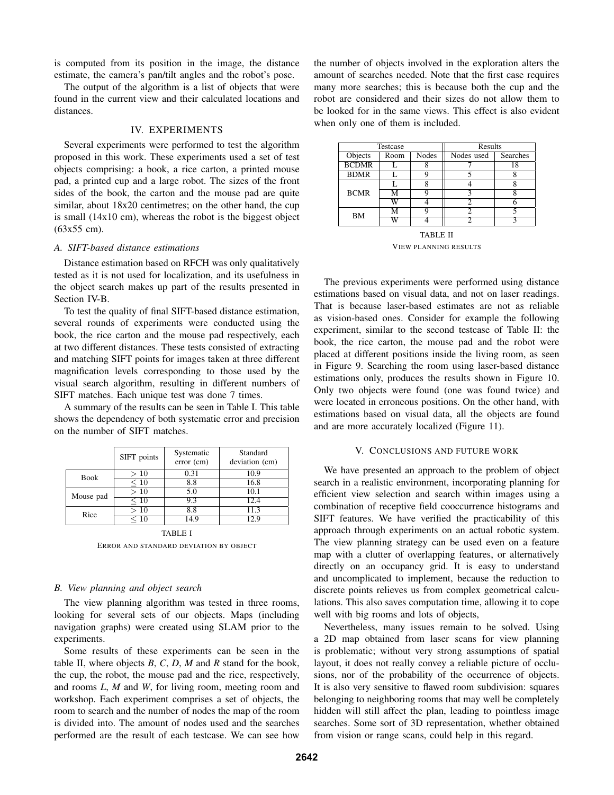is computed from its position in the image, the distance estimate, the camera's pan/tilt angles and the robot's pose.

The output of the algorithm is a list of objects that were found in the current view and their calculated locations and distances.

# IV. EXPERIMENTS

Several experiments were performed to test the algorithm proposed in this work. These experiments used a set of test objects comprising: a book, a rice carton, a printed mouse pad, a printed cup and a large robot. The sizes of the front sides of the book, the carton and the mouse pad are quite similar, about  $18x20$  centimetres; on the other hand, the cup is small (14x10 cm), whereas the robot is the biggest object (63x55 cm).

# *A. SIFT-based distance estimations*

Distance estimation based on RFCH was only qualitatively tested as it is not used for localization, and its usefulness in the object search makes up part of the results presented in Section IV-B.

To test the quality of final SIFT-based distance estimation, several rounds of experiments were conducted using the book, the rice carton and the mouse pad respectively, each at two different distances. These tests consisted of extracting and matching SIFT points for images taken at three different magnification levels corresponding to those used by the visual search algorithm, resulting in different numbers of SIFT matches. Each unique test was done 7 times.

A summary of the results can be seen in Table I. This table shows the dependency of both systematic error and precision on the number of SIFT matches.

|             | SIFT points | Systematic<br>error (cm) | Standard<br>deviation (cm) |
|-------------|-------------|--------------------------|----------------------------|
| <b>Book</b> | >10         | 0.31                     | 10.9                       |
|             | $\leq 10$   | 8.8                      | 16.8                       |
| Mouse pad   | >10         | 5.0                      | 10.1                       |
|             | $\leq 10$   | 9.3                      | 12.4                       |
| Rice        | >10         | 8.8                      | 11.3                       |
|             | $\leq 10$   | 14.9                     | 12.9                       |
|             |             |                          |                            |

TABLE I ERROR AND STANDARD DEVIATION BY OBJECT

#### *B. View planning and object search*

The view planning algorithm was tested in three rooms, looking for several sets of our objects. Maps (including navigation graphs) were created using SLAM prior to the experiments.

Some results of these experiments can be seen in the table II, where objects *B*, *C*, *D*, *M* and *R* stand for the book, the cup, the robot, the mouse pad and the rice, respectively, and rooms *L*, *M* and *W*, for living room, meeting room and workshop. Each experiment comprises a set of objects, the room to search and the number of nodes the map of the room is divided into. The amount of nodes used and the searches performed are the result of each testcase. We can see how

the number of objects involved in the exploration alters the amount of searches needed. Note that the first case requires many more searches; this is because both the cup and the robot are considered and their sizes do not allow them to be looked for in the same views. This effect is also evident when only one of them is included.

| Testcase        |      |       | Results    |          |  |  |
|-----------------|------|-------|------------|----------|--|--|
| Objects         | Room | Nodes | Nodes used | Searches |  |  |
| <b>BCDMR</b>    |      |       |            | 18       |  |  |
| <b>BDMR</b>     |      | Q     |            |          |  |  |
| <b>BCMR</b>     |      | 8     |            | 8        |  |  |
|                 | м    | Q     | ٩          | 8        |  |  |
|                 | W    |       | 2          |          |  |  |
| BM              | м    | Q     | 2          |          |  |  |
|                 | W    |       |            |          |  |  |
| <b>TABLE II</b> |      |       |            |          |  |  |

VIEW PLANNING RESULTS

The previous experiments were performed using distance estimations based on visual data, and not on laser readings. That is because laser-based estimates are not as reliable as vision-based ones. Consider for example the following experiment, similar to the second testcase of Table II: the book, the rice carton, the mouse pad and the robot were placed at different positions inside the living room, as seen in Figure 9. Searching the room using laser-based distance estimations only, produces the results shown in Figure 10. Only two objects were found (one was found twice) and were located in erroneous positions. On the other hand, with estimations based on visual data, all the objects are found and are more accurately localized (Figure 11).

#### V. CONCLUSIONS AND FUTURE WORK

We have presented an approach to the problem of object search in a realistic environment, incorporating planning for efficient view selection and search within images using a combination of receptive field cooccurrence histograms and SIFT features. We have verified the practicability of this approach through experiments on an actual robotic system. The view planning strategy can be used even on a feature map with a clutter of overlapping features, or alternatively directly on an occupancy grid. It is easy to understand and uncomplicated to implement, because the reduction to discrete points relieves us from complex geometrical calculations. This also saves computation time, allowing it to cope well with big rooms and lots of objects,

Nevertheless, many issues remain to be solved. Using a 2D map obtained from laser scans for view planning is problematic; without very strong assumptions of spatial layout, it does not really convey a reliable picture of occlusions, nor of the probability of the occurrence of objects. It is also very sensitive to flawed room subdivision: squares belonging to neighboring rooms that may well be completely hidden will still affect the plan, leading to pointless image searches. Some sort of 3D representation, whether obtained from vision or range scans, could help in this regard.